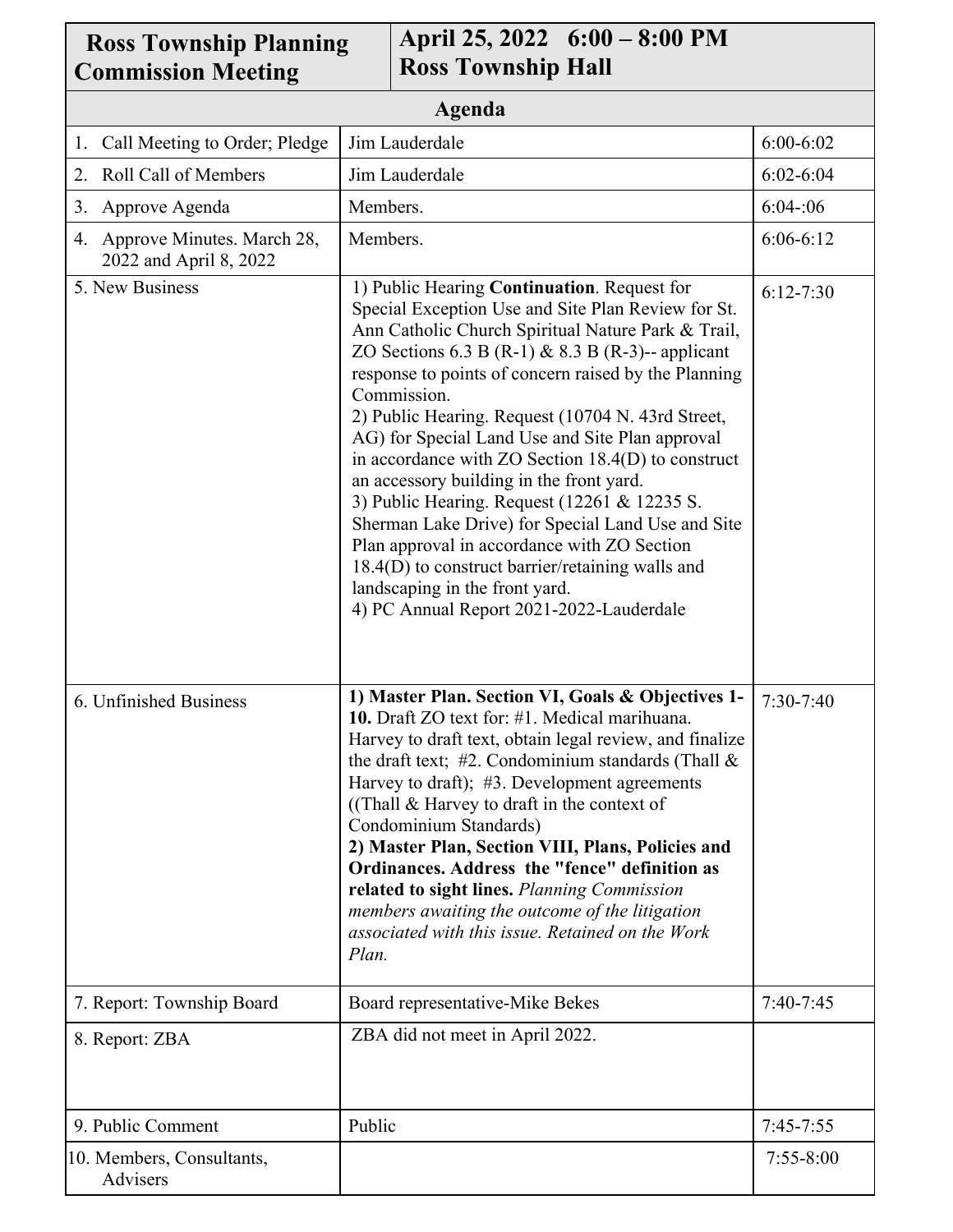| April 25, 2022 6:00 – 8:00 PM<br><b>Ross Township Planning</b><br><b>Ross Township Hall</b><br><b>Commission Meeting</b> |                                                                                                                                                                                                                                                                                                                                                                                                                                                                                                                                                                                                                                                                                                                                                                                         |               |  |
|--------------------------------------------------------------------------------------------------------------------------|-----------------------------------------------------------------------------------------------------------------------------------------------------------------------------------------------------------------------------------------------------------------------------------------------------------------------------------------------------------------------------------------------------------------------------------------------------------------------------------------------------------------------------------------------------------------------------------------------------------------------------------------------------------------------------------------------------------------------------------------------------------------------------------------|---------------|--|
| Agenda                                                                                                                   |                                                                                                                                                                                                                                                                                                                                                                                                                                                                                                                                                                                                                                                                                                                                                                                         |               |  |
| Call Meeting to Order; Pledge<br>1.                                                                                      | Jim Lauderdale                                                                                                                                                                                                                                                                                                                                                                                                                                                                                                                                                                                                                                                                                                                                                                          | $6:00 - 6:02$ |  |
| Roll Call of Members<br>2.                                                                                               | Jim Lauderdale                                                                                                                                                                                                                                                                                                                                                                                                                                                                                                                                                                                                                                                                                                                                                                          | $6:02 - 6:04$ |  |
| Approve Agenda<br>3.                                                                                                     | Members.                                                                                                                                                                                                                                                                                                                                                                                                                                                                                                                                                                                                                                                                                                                                                                                | 6:04:06       |  |
| 4. Approve Minutes. March 28,<br>2022 and April 8, 2022                                                                  | Members.                                                                                                                                                                                                                                                                                                                                                                                                                                                                                                                                                                                                                                                                                                                                                                                | $6:06-6:12$   |  |
| 5. New Business                                                                                                          | 1) Public Hearing Continuation. Request for<br>Special Exception Use and Site Plan Review for St.<br>Ann Catholic Church Spiritual Nature Park & Trail,<br>ZO Sections 6.3 B (R-1) & 8.3 B (R-3)-- applicant<br>response to points of concern raised by the Planning<br>Commission.<br>2) Public Hearing. Request (10704 N. 43rd Street,<br>AG) for Special Land Use and Site Plan approval<br>in accordance with $ZO$ Section $18.4(D)$ to construct<br>an accessory building in the front yard.<br>3) Public Hearing. Request (12261 & 12235 S.<br>Sherman Lake Drive) for Special Land Use and Site<br>Plan approval in accordance with ZO Section<br>18.4(D) to construct barrier/retaining walls and<br>landscaping in the front yard.<br>4) PC Annual Report 2021-2022-Lauderdale | $6:12-7:30$   |  |
| 6. Unfinished Business                                                                                                   | 1) Master Plan. Section VI, Goals & Objectives 1-<br>10. Draft ZO text for: #1. Medical marihuana.<br>Harvey to draft text, obtain legal review, and finalize<br>the draft text; $\#2$ . Condominium standards (Thall &<br>Harvey to draft); #3. Development agreements<br>((Thall & Harvey to draft in the context of<br>Condominium Standards)<br>2) Master Plan, Section VIII, Plans, Policies and<br>Ordinances. Address the "fence" definition as<br>related to sight lines. Planning Commission<br>members awaiting the outcome of the litigation<br>associated with this issue. Retained on the Work<br>Plan.                                                                                                                                                                    | $7:30-7:40$   |  |
| 7. Report: Township Board                                                                                                | Board representative-Mike Bekes                                                                                                                                                                                                                                                                                                                                                                                                                                                                                                                                                                                                                                                                                                                                                         | $7:40-7:45$   |  |
| 8. Report: ZBA                                                                                                           | ZBA did not meet in April 2022.                                                                                                                                                                                                                                                                                                                                                                                                                                                                                                                                                                                                                                                                                                                                                         |               |  |
| 9. Public Comment                                                                                                        | Public                                                                                                                                                                                                                                                                                                                                                                                                                                                                                                                                                                                                                                                                                                                                                                                  | $7:45-7:55$   |  |
| 10. Members, Consultants,<br>Advisers                                                                                    |                                                                                                                                                                                                                                                                                                                                                                                                                                                                                                                                                                                                                                                                                                                                                                                         | $7:55 - 8:00$ |  |